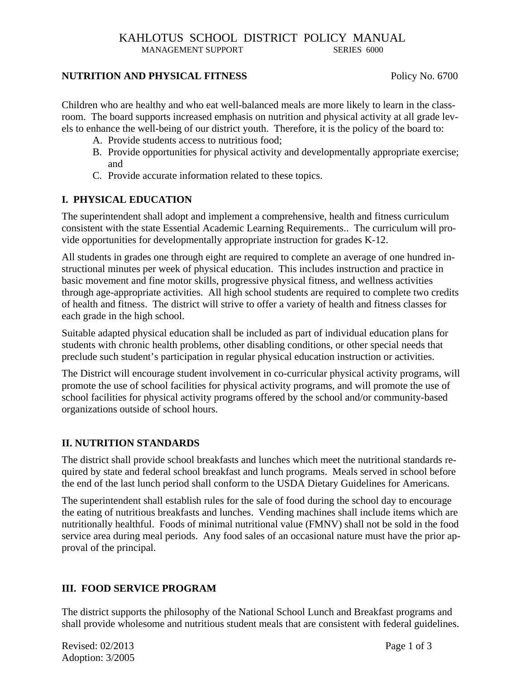## **NUTRITION AND PHYSICAL FITNESS** Policy No. 6700

Children who are healthy and who eat well-balanced meals are more likely to learn in the classroom. The board supports increased emphasis on nutrition and physical activity at all grade levels to enhance the well-being of our district youth. Therefore, it is the policy of the board to:

- A. Provide students access to nutritious food;
- B. Provide opportunities for physical activity and developmentally appropriate exercise; and
- C. Provide accurate information related to these topics.

# **I. PHYSICAL EDUCATION**

The superintendent shall adopt and implement a comprehensive, health and fitness curriculum consistent with the state Essential Academic Learning Requirements.. The curriculum will provide opportunities for developmentally appropriate instruction for grades K-12.

All students in grades one through eight are required to complete an average of one hundred instructional minutes per week of physical education. This includes instruction and practice in basic movement and fine motor skills, progressive physical fitness, and wellness activities through age-appropriate activities. All high school students are required to complete two credits of health and fitness. The district will strive to offer a variety of health and fitness classes for each grade in the high school.

Suitable adapted physical education shall be included as part of individual education plans for students with chronic health problems, other disabling conditions, or other special needs that preclude such student's participation in regular physical education instruction or activities.

The District will encourage student involvement in co-curricular physical activity programs, will promote the use of school facilities for physical activity programs, and will promote the use of school facilities for physical activity programs offered by the school and/or community-based organizations outside of school hours.

# **II. NUTRITION STANDARDS**

The district shall provide school breakfasts and lunches which meet the nutritional standards required by state and federal school breakfast and lunch programs. Meals served in school before the end of the last lunch period shall conform to the USDA Dietary Guidelines for Americans.

The superintendent shall establish rules for the sale of food during the school day to encourage the eating of nutritious breakfasts and lunches. Vending machines shall include items which are nutritionally healthful. Foods of minimal nutritional value (FMNV) shall not be sold in the food service area during meal periods. Any food sales of an occasional nature must have the prior approval of the principal.

## **III. FOOD SERVICE PROGRAM**

The district supports the philosophy of the National School Lunch and Breakfast programs and shall provide wholesome and nutritious student meals that are consistent with federal guidelines.

Revised: 02/2013 Page 1 of 3 Adoption: 3/2005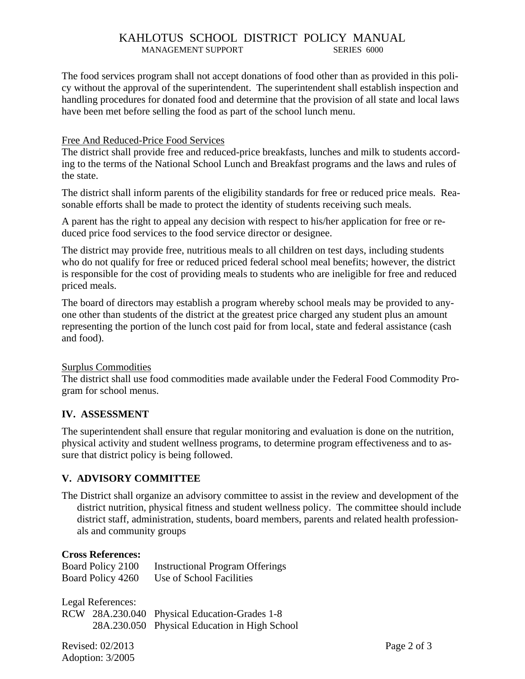The food services program shall not accept donations of food other than as provided in this policy without the approval of the superintendent. The superintendent shall establish inspection and handling procedures for donated food and determine that the provision of all state and local laws have been met before selling the food as part of the school lunch menu.

#### Free And Reduced-Price Food Services

The district shall provide free and reduced-price breakfasts, lunches and milk to students according to the terms of the National School Lunch and Breakfast programs and the laws and rules of the state.

The district shall inform parents of the eligibility standards for free or reduced price meals. Reasonable efforts shall be made to protect the identity of students receiving such meals.

A parent has the right to appeal any decision with respect to his/her application for free or reduced price food services to the food service director or designee.

The district may provide free, nutritious meals to all children on test days, including students who do not qualify for free or reduced priced federal school meal benefits; however, the district is responsible for the cost of providing meals to students who are ineligible for free and reduced priced meals.

The board of directors may establish a program whereby school meals may be provided to anyone other than students of the district at the greatest price charged any student plus an amount representing the portion of the lunch cost paid for from local, state and federal assistance (cash and food).

#### Surplus Commodities

The district shall use food commodities made available under the Federal Food Commodity Program for school menus.

#### **IV. ASSESSMENT**

The superintendent shall ensure that regular monitoring and evaluation is done on the nutrition, physical activity and student wellness programs, to determine program effectiveness and to assure that district policy is being followed.

## **V. ADVISORY COMMITTEE**

The District shall organize an advisory committee to assist in the review and development of the district nutrition, physical fitness and student wellness policy. The committee should include district staff, administration, students, board members, parents and related health professionals and community groups

#### **Cross References:**

| Board Policy 2100 | <b>Instructional Program Offerings</b> |
|-------------------|----------------------------------------|
| Board Policy 4260 | Use of School Facilities               |

Legal References:

|  | RCW 28A.230.040 Physical Education-Grades 1-8 |
|--|-----------------------------------------------|
|  | 28A.230.050 Physical Education in High School |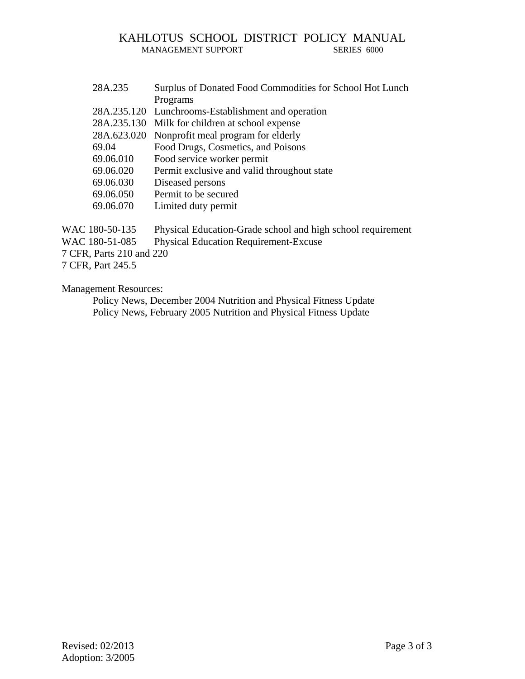| 28A.235     | Surplus of Donated Food Commodities for School Hot Lunch |
|-------------|----------------------------------------------------------|
|             | Programs                                                 |
|             | 28A.235.120 Lunchrooms-Establishment and operation       |
| 28A.235.130 | Milk for children at school expense                      |
| 28A.623.020 | Nonprofit meal program for elderly                       |
| 69.04       | Food Drugs, Cosmetics, and Poisons                       |
| 69.06.010   | Food service worker permit                               |
| 69.06.020   | Permit exclusive and valid throughout state              |
| 69.06.030   | Diseased persons                                         |
| 69.06.050   | Permit to be secured                                     |
| 69.06.070   | Limited duty permit                                      |
|             |                                                          |

WAC 180-50-135 Physical Education-Grade school and high school requirement WAC 180-51-085 Physical Education Requirement-Excuse 7 CFR, Parts 210 and 220 7 CFR, Part 245.5

Management Resources:

 Policy News, December 2004 Nutrition and Physical Fitness Update Policy News, February 2005 Nutrition and Physical Fitness Update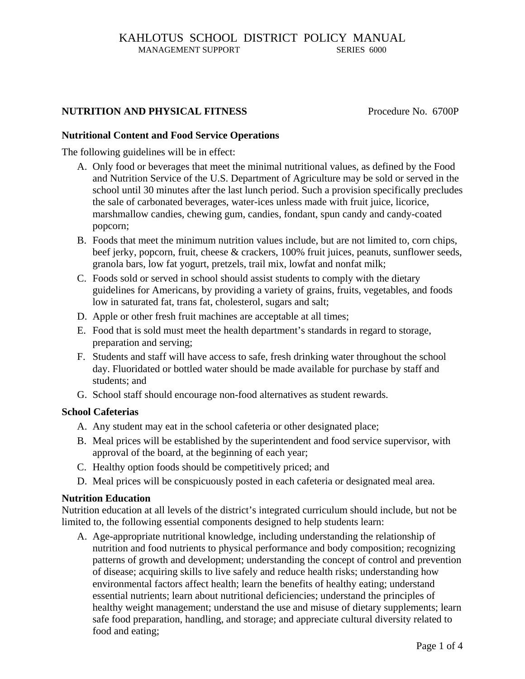#### **NUTRITION AND PHYSICAL FITNESS** Procedure No. 6700P

#### **Nutritional Content and Food Service Operations**

The following guidelines will be in effect:

- A. Only food or beverages that meet the minimal nutritional values, as defined by the Food and Nutrition Service of the U.S. Department of Agriculture may be sold or served in the school until 30 minutes after the last lunch period. Such a provision specifically precludes the sale of carbonated beverages, water-ices unless made with fruit juice, licorice, marshmallow candies, chewing gum, candies, fondant, spun candy and candy-coated popcorn;
- B. Foods that meet the minimum nutrition values include, but are not limited to, corn chips, beef jerky, popcorn, fruit, cheese & crackers, 100% fruit juices, peanuts, sunflower seeds, granola bars, low fat yogurt, pretzels, trail mix, lowfat and nonfat milk;
- C. Foods sold or served in school should assist students to comply with the dietary guidelines for Americans, by providing a variety of grains, fruits, vegetables, and foods low in saturated fat, trans fat, cholesterol, sugars and salt;
- D. Apple or other fresh fruit machines are acceptable at all times;
- E. Food that is sold must meet the health department's standards in regard to storage, preparation and serving;
- F. Students and staff will have access to safe, fresh drinking water throughout the school day. Fluoridated or bottled water should be made available for purchase by staff and students; and
- G. School staff should encourage non-food alternatives as student rewards.

#### **School Cafeterias**

- A. Any student may eat in the school cafeteria or other designated place;
- B. Meal prices will be established by the superintendent and food service supervisor, with approval of the board, at the beginning of each year;
- C. Healthy option foods should be competitively priced; and
- D. Meal prices will be conspicuously posted in each cafeteria or designated meal area.

#### **Nutrition Education**

Nutrition education at all levels of the district's integrated curriculum should include, but not be limited to, the following essential components designed to help students learn:

A. Age-appropriate nutritional knowledge, including understanding the relationship of nutrition and food nutrients to physical performance and body composition; recognizing patterns of growth and development; understanding the concept of control and prevention of disease; acquiring skills to live safely and reduce health risks; understanding how environmental factors affect health; learn the benefits of healthy eating; understand essential nutrients; learn about nutritional deficiencies; understand the principles of healthy weight management; understand the use and misuse of dietary supplements; learn safe food preparation, handling, and storage; and appreciate cultural diversity related to food and eating;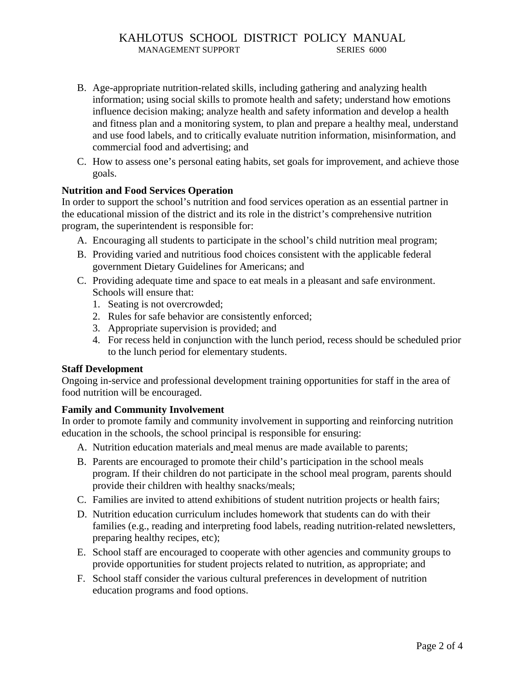- B. Age-appropriate nutrition-related skills, including gathering and analyzing health information; using social skills to promote health and safety; understand how emotions influence decision making; analyze health and safety information and develop a health and fitness plan and a monitoring system, to plan and prepare a healthy meal, understand and use food labels, and to critically evaluate nutrition information, misinformation, and commercial food and advertising; and
- C. How to assess one's personal eating habits, set goals for improvement, and achieve those goals.

#### **Nutrition and Food Services Operation**

In order to support the school's nutrition and food services operation as an essential partner in the educational mission of the district and its role in the district's comprehensive nutrition program, the superintendent is responsible for:

- A. Encouraging all students to participate in the school's child nutrition meal program;
- B. Providing varied and nutritious food choices consistent with the applicable federal government Dietary Guidelines for Americans; and
- C. Providing adequate time and space to eat meals in a pleasant and safe environment. Schools will ensure that:
	- 1. Seating is not overcrowded;
	- 2. Rules for safe behavior are consistently enforced;
	- 3. Appropriate supervision is provided; and
	- 4. For recess held in conjunction with the lunch period, recess should be scheduled prior to the lunch period for elementary students.

#### **Staff Development**

Ongoing in-service and professional development training opportunities for staff in the area of food nutrition will be encouraged.

#### **Family and Community Involvement**

In order to promote family and community involvement in supporting and reinforcing nutrition education in the schools, the school principal is responsible for ensuring:

- A. Nutrition education materials and meal menus are made available to parents;
- B. Parents are encouraged to promote their child's participation in the school meals program. If their children do not participate in the school meal program, parents should provide their children with healthy snacks/meals;
- C. Families are invited to attend exhibitions of student nutrition projects or health fairs;
- D. Nutrition education curriculum includes homework that students can do with their families (e.g., reading and interpreting food labels, reading nutrition-related newsletters, preparing healthy recipes, etc);
- E. School staff are encouraged to cooperate with other agencies and community groups to provide opportunities for student projects related to nutrition, as appropriate; and
- F. School staff consider the various cultural preferences in development of nutrition education programs and food options.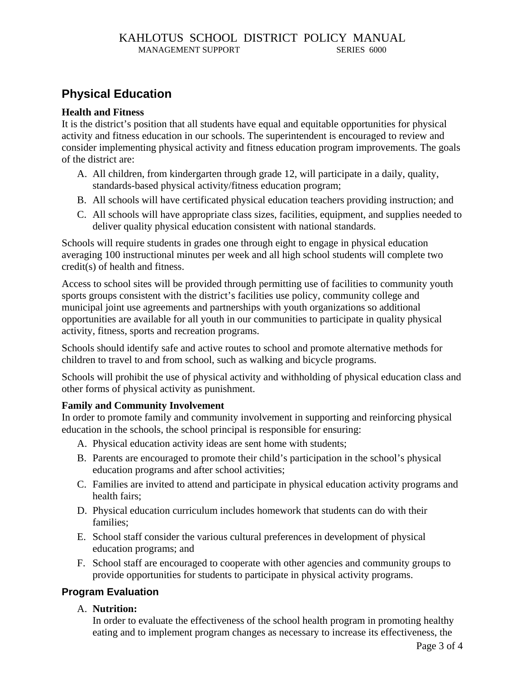# **Physical Education**

#### **Health and Fitness**

It is the district's position that all students have equal and equitable opportunities for physical activity and fitness education in our schools. The superintendent is encouraged to review and consider implementing physical activity and fitness education program improvements. The goals of the district are:

- A. All children, from kindergarten through grade 12, will participate in a daily, quality, standards-based physical activity/fitness education program;
- B. All schools will have certificated physical education teachers providing instruction; and
- C. All schools will have appropriate class sizes, facilities, equipment, and supplies needed to deliver quality physical education consistent with national standards.

Schools will require students in grades one through eight to engage in physical education averaging 100 instructional minutes per week and all high school students will complete two credit(s) of health and fitness.

Access to school sites will be provided through permitting use of facilities to community youth sports groups consistent with the district's facilities use policy, community college and municipal joint use agreements and partnerships with youth organizations so additional opportunities are available for all youth in our communities to participate in quality physical activity, fitness, sports and recreation programs.

Schools should identify safe and active routes to school and promote alternative methods for children to travel to and from school, such as walking and bicycle programs.

Schools will prohibit the use of physical activity and withholding of physical education class and other forms of physical activity as punishment.

## **Family and Community Involvement**

In order to promote family and community involvement in supporting and reinforcing physical education in the schools, the school principal is responsible for ensuring:

- A. Physical education activity ideas are sent home with students;
- B. Parents are encouraged to promote their child's participation in the school's physical education programs and after school activities;
- C. Families are invited to attend and participate in physical education activity programs and health fairs;
- D. Physical education curriculum includes homework that students can do with their families;
- E. School staff consider the various cultural preferences in development of physical education programs; and
- F. School staff are encouraged to cooperate with other agencies and community groups to provide opportunities for students to participate in physical activity programs.

# **Program Evaluation**

## A. **Nutrition:**

In order to evaluate the effectiveness of the school health program in promoting healthy eating and to implement program changes as necessary to increase its effectiveness, the